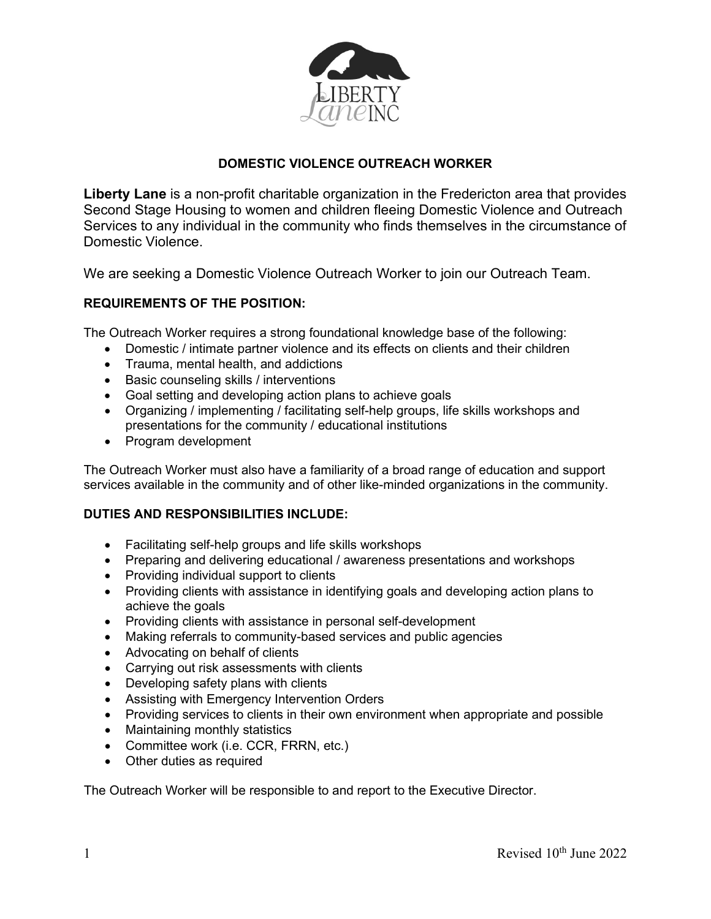

# **DOMESTIC VIOLENCE OUTREACH WORKER**

**Liberty Lane** is a non-profit charitable organization in the Fredericton area that provides Second Stage Housing to women and children fleeing Domestic Violence and Outreach Services to any individual in the community who finds themselves in the circumstance of Domestic Violence.

We are seeking a Domestic Violence Outreach Worker to join our Outreach Team.

# **REQUIREMENTS OF THE POSITION:**

The Outreach Worker requires a strong foundational knowledge base of the following:

- Domestic / intimate partner violence and its effects on clients and their children
- Trauma, mental health, and addictions
- Basic counseling skills / interventions
- Goal setting and developing action plans to achieve goals
- Organizing / implementing / facilitating self-help groups, life skills workshops and presentations for the community / educational institutions
- Program development

The Outreach Worker must also have a familiarity of a broad range of education and support services available in the community and of other like-minded organizations in the community.

# **DUTIES AND RESPONSIBILITIES INCLUDE:**

- Facilitating self-help groups and life skills workshops
- Preparing and delivering educational / awareness presentations and workshops
- Providing individual support to clients
- Providing clients with assistance in identifying goals and developing action plans to achieve the goals
- Providing clients with assistance in personal self-development
- Making referrals to community-based services and public agencies
- Advocating on behalf of clients
- Carrying out risk assessments with clients
- Developing safety plans with clients
- Assisting with Emergency Intervention Orders
- Providing services to clients in their own environment when appropriate and possible
- Maintaining monthly statistics
- Committee work (i.e. CCR, FRRN, etc.)
- Other duties as required

The Outreach Worker will be responsible to and report to the Executive Director.